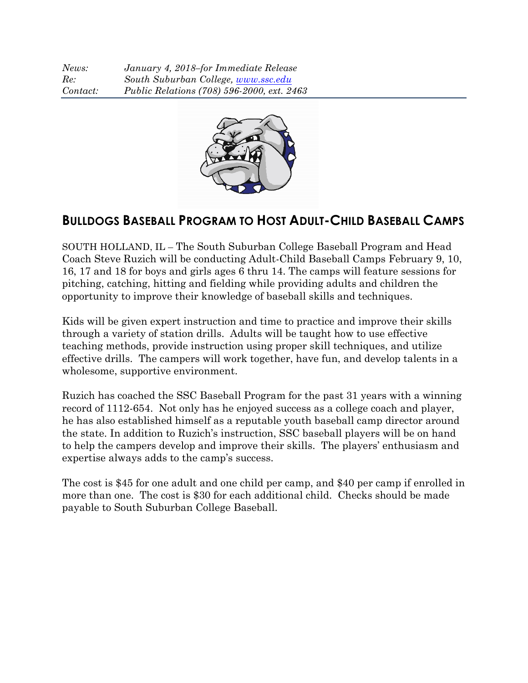*News: January 4, 2018–for Immediate Release Re: South Suburban College, www.ssc.edu Contact: Public Relations (708) 596-2000, ext. 2463*



# **BULLDOGS BASEBALL PROGRAM TO HOST ADULT-CHILD BASEBALL CAMPS**

SOUTH HOLLAND, IL – The South Suburban College Baseball Program and Head Coach Steve Ruzich will be conducting Adult-Child Baseball Camps February 9, 10, 16, 17 and 18 for boys and girls ages 6 thru 14. The camps will feature sessions for pitching, catching, hitting and fielding while providing adults and children the opportunity to improve their knowledge of baseball skills and techniques.

Kids will be given expert instruction and time to practice and improve their skills through a variety of station drills. Adults will be taught how to use effective teaching methods, provide instruction using proper skill techniques, and utilize effective drills. The campers will work together, have fun, and develop talents in a wholesome, supportive environment.

Ruzich has coached the SSC Baseball Program for the past 31 years with a winning record of 1112-654. Not only has he enjoyed success as a college coach and player, he has also established himself as a reputable youth baseball camp director around the state. In addition to Ruzich's instruction, SSC baseball players will be on hand to help the campers develop and improve their skills. The players' enthusiasm and expertise always adds to the camp's success.

The cost is \$45 for one adult and one child per camp, and \$40 per camp if enrolled in more than one. The cost is \$30 for each additional child. Checks should be made payable to South Suburban College Baseball.